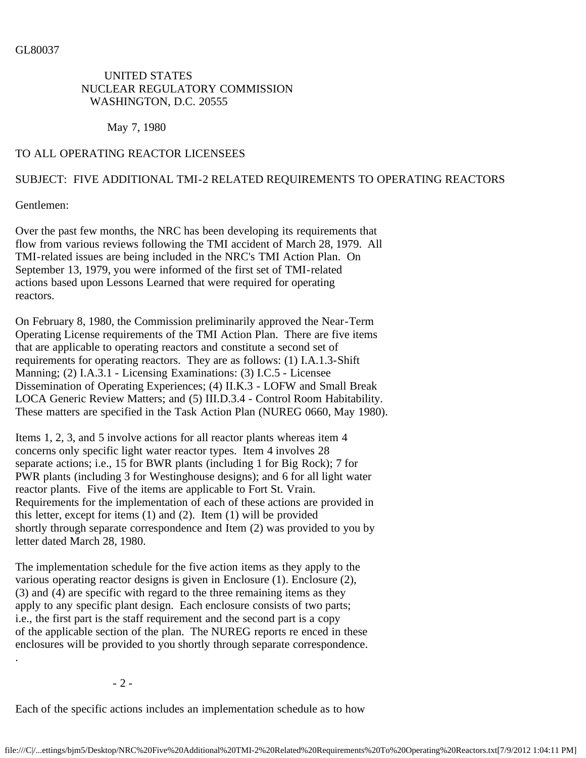## UNITED STATES NUCLEAR REGULATORY COMMISSION WASHINGTON, D.C. 20555

May 7, 1980

## TO ALL OPERATING REACTOR LICENSEES

## SUBJECT: FIVE ADDITIONAL TMI-2 RELATED REQUIREMENTS TO OPERATING REACTORS

Gentlemen:

Over the past few months, the NRC has been developing its requirements that flow from various reviews following the TMI accident of March 28, 1979. All TMI-related issues are being included in the NRC's TMI Action Plan. On September 13, 1979, you were informed of the first set of TMI-related actions based upon Lessons Learned that were required for operating reactors.

On February 8, 1980, the Commission preliminarily approved the Near-Term Operating License requirements of the TMI Action Plan. There are five items that are applicable to operating reactors and constitute a second set of requirements for operating reactors. They are as follows: (1) I.A.1.3-Shift Manning; (2) I.A.3.1 - Licensing Examinations: (3) I.C.5 - Licensee Dissemination of Operating Experiences; (4) II.K.3 - LOFW and Small Break LOCA Generic Review Matters; and (5) III.D.3.4 - Control Room Habitability. These matters are specified in the Task Action Plan (NUREG 0660, May 1980).

Items 1, 2, 3, and 5 involve actions for all reactor plants whereas item 4 concerns only specific light water reactor types. Item 4 involves 28 separate actions; i.e., 15 for BWR plants (including 1 for Big Rock); 7 for PWR plants (including 3 for Westinghouse designs); and 6 for all light water reactor plants. Five of the items are applicable to Fort St. Vrain. Requirements for the implementation of each of these actions are provided in this letter, except for items (1) and (2). Item (1) will be provided shortly through separate correspondence and Item (2) was provided to you by letter dated March 28, 1980.

The implementation schedule for the five action items as they apply to the various operating reactor designs is given in Enclosure (1). Enclosure (2), (3) and (4) are specific with regard to the three remaining items as they apply to any specific plant design. Each enclosure consists of two parts; i.e., the first part is the staff requirement and the second part is a copy of the applicable section of the plan. The NUREG reports re enced in these enclosures will be provided to you shortly through separate correspondence.

- 2 -

.

Each of the specific actions includes an implementation schedule as to how